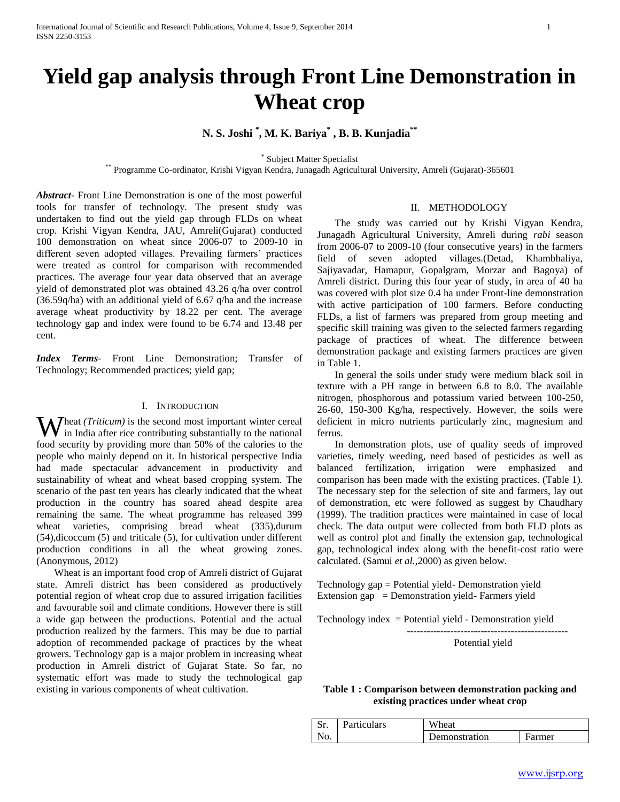# **Yield gap analysis through Front Line Demonstration in Wheat crop**

## **N. S. Joshi \* , M. K. Bariya\* , B. B. Kunjadia\*\***

\* Subject Matter Specialist

\*\* Programme Co-ordinator, Krishi Vigyan Kendra, Junagadh Agricultural University, Amreli (Gujarat)-365601

*Abstract***-** Front Line Demonstration is one of the most powerful tools for transfer of technology. The present study was undertaken to find out the yield gap through FLDs on wheat crop. Krishi Vigyan Kendra, JAU, Amreli(Gujarat) conducted 100 demonstration on wheat since 2006-07 to 2009-10 in different seven adopted villages. Prevailing farmers' practices were treated as control for comparison with recommended practices. The average four year data observed that an average yield of demonstrated plot was obtained 43.26 q/ha over control (36.59q/ha) with an additional yield of 6.67 q/ha and the increase average wheat productivity by 18.22 per cent. The average technology gap and index were found to be 6.74 and 13.48 per cent.

*Index Terms*- Front Line Demonstration; Transfer of Technology; Recommended practices; yield gap;

#### I. INTRODUCTION

**W** heat *(Triticum)* is the second most important winter cereal in India after rice contributing substantially to the national in India after rice contributing substantially to the national food security by providing more than 50% of the calories to the people who mainly depend on it. In historical perspective India had made spectacular advancement in productivity and sustainability of wheat and wheat based cropping system. The scenario of the past ten years has clearly indicated that the wheat production in the country has soared ahead despite area remaining the same. The wheat programme has released 399 wheat varieties, comprising bread wheat (335), durum (54),dicoccum (5) and triticale (5), for cultivation under different production conditions in all the wheat growing zones. (Anonymous, 2012)

 Wheat is an important food crop of Amreli district of Gujarat state. Amreli district has been considered as productively potential region of wheat crop due to assured irrigation facilities and favourable soil and climate conditions. However there is still a wide gap between the productions. Potential and the actual production realized by the farmers. This may be due to partial adoption of recommended package of practices by the wheat growers. Technology gap is a major problem in increasing wheat production in Amreli district of Gujarat State. So far, no systematic effort was made to study the technological gap existing in various components of wheat cultivation.

#### II. METHODOLOGY

 The study was carried out by Krishi Vigyan Kendra, Junagadh Agricultural University, Amreli during *rabi* season from 2006-07 to 2009-10 (four consecutive years) in the farmers field of seven adopted villages.(Detad, Khambhaliya, Sajiyavadar, Hamapur, Gopalgram, Morzar and Bagoya) of Amreli district. During this four year of study, in area of 40 ha was covered with plot size 0.4 ha under Front-line demonstration with active participation of 100 farmers. Before conducting FLDs, a list of farmers was prepared from group meeting and specific skill training was given to the selected farmers regarding package of practices of wheat. The difference between demonstration package and existing farmers practices are given in Table 1.

 In general the soils under study were medium black soil in texture with a PH range in between 6.8 to 8.0. The available nitrogen, phosphorous and potassium varied between 100-250, 26-60, 150-300 Kg/ha, respectively. However, the soils were deficient in micro nutrients particularly zinc, magnesium and ferrus.

 In demonstration plots, use of quality seeds of improved varieties, timely weeding, need based of pesticides as well as balanced fertilization, irrigation were emphasized and comparison has been made with the existing practices. (Table 1). The necessary step for the selection of site and farmers, lay out of demonstration, etc were followed as suggest by Chaudhary (1999). The tradition practices were maintained in case of local check. The data output were collected from both FLD plots as well as control plot and finally the extension gap, technological gap, technological index along with the benefit-cost ratio were calculated. (Samui *et al.*,2000) as given below.

Technology gap = Potential yield- Demonstration yield Extension gap  $=$  Demonstration yield-Farmers yield

------------------------------------------------

Technology index = Potential yield - Demonstration yield

Potential yield

**Table 1 : Comparison between demonstration packing and existing practices under wheat crop**

| $C_{\mathbf{r}}$<br>ىد | Particulars | Wheat         |        |  |  |  |
|------------------------|-------------|---------------|--------|--|--|--|
| No.                    |             | Demonstration | Farmer |  |  |  |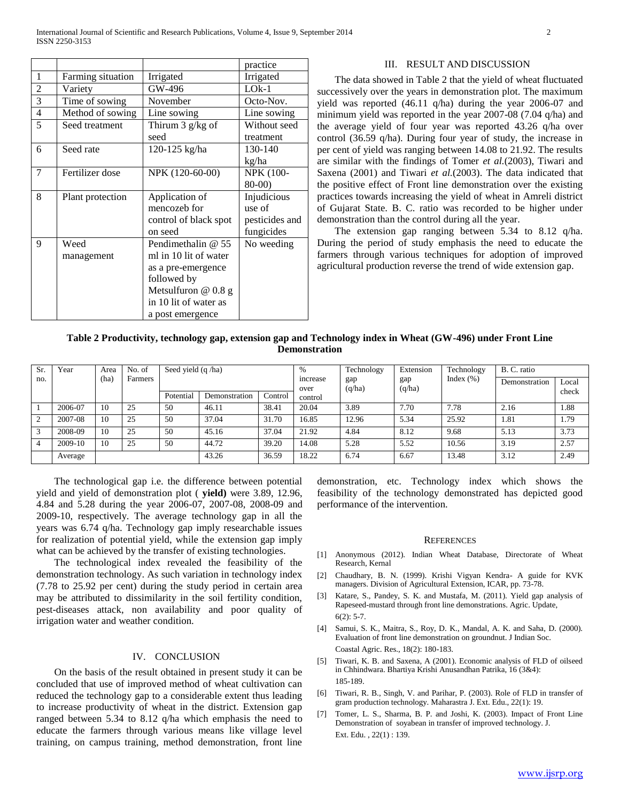|                          |                   |                       | practice         |  |  |
|--------------------------|-------------------|-----------------------|------------------|--|--|
| 1                        | Farming situation | Irrigated             | Irrigated        |  |  |
| $\overline{c}$           | Variety           | GW-496                | $LOk-1$          |  |  |
| 3                        | Time of sowing    | November              | Octo-Nov.        |  |  |
| $\overline{\mathcal{L}}$ | Method of sowing  | Line sowing           | Line sowing      |  |  |
| 5                        | Seed treatment    | Thirum $3$ g/kg of    | Without seed     |  |  |
|                          |                   | seed                  | treatment        |  |  |
| 6                        | Seed rate         | 120-125 kg/ha         | 130-140          |  |  |
|                          |                   |                       | kg/ha            |  |  |
| 7                        | Fertilizer dose   | NPK (120-60-00)       | <b>NPK (100-</b> |  |  |
|                          |                   |                       | $80-00$          |  |  |
| 8                        | Plant protection  | Application of        | Injudicious      |  |  |
|                          |                   | mencozeb for          | use of           |  |  |
|                          |                   | control of black spot | pesticides and   |  |  |
|                          |                   | on seed               | fungicides       |  |  |
| 9                        | Weed              | Pendimethalin $@$ 55  | No weeding       |  |  |
|                          | management        | ml in 10 lit of water |                  |  |  |
|                          |                   | as a pre-emergence    |                  |  |  |
|                          |                   | followed by           |                  |  |  |
|                          |                   | Metsulfuron $@0.8g$   |                  |  |  |
|                          |                   | in 10 lit of water as |                  |  |  |
|                          |                   | a post emergence      |                  |  |  |

#### III. RESULT AND DISCUSSION

 The data showed in Table 2 that the yield of wheat fluctuated successively over the years in demonstration plot. The maximum yield was reported (46.11 q/ha) during the year 2006-07 and minimum yield was reported in the year 2007-08 (7.04 q/ha) and the average yield of four year was reported 43.26 q/ha over control (36.59 q/ha). During four year of study, the increase in per cent of yield was ranging between 14.08 to 21.92. The results are similar with the findings of Tomer *et al.*(2003), Tiwari and Saxena (2001) and Tiwari *et al.*(2003). The data indicated that the positive effect of Front line demonstration over the existing practices towards increasing the yield of wheat in Amreli district of Gujarat State. B. C. ratio was recorded to be higher under demonstration than the control during all the year.

 The extension gap ranging between 5.34 to 8.12 q/ha. During the period of study emphasis the need to educate the farmers through various techniques for adoption of improved agricultural production reverse the trend of wide extension gap.

### **Table 2 Productivity, technology gap, extension gap and Technology index in Wheat (GW-496) under Front Line Demonstration**

| Sr.            | Year    | Area | No. of  | Seed yield (q /ha) |               |         | $\%$            | Technology | Extension | Technology    | B. C. ratio   |       |
|----------------|---------|------|---------|--------------------|---------------|---------|-----------------|------------|-----------|---------------|---------------|-------|
| no.            |         | (ha) | Farmers |                    |               |         | increase        | gap        | gap       | Index $(\% )$ | Demonstration | Local |
|                |         |      |         | Potential          | Demonstration | Control | over<br>control | (q/ha)     | (q/ha)    |               |               | check |
|                | 2006-07 | 10   | 25      | 50                 | 46.11         | 38.41   | 20.04           | 3.89       | 7.70      | 7.78          | 2.16          | 1.88  |
| 2              | 2007-08 | 10   | 25      | 50                 | 37.04         | 31.70   | 16.85           | 12.96      | 5.34      | 25.92         | 1.81          | 1.79  |
| 3              | 2008-09 | 10   | 25      | 50                 | 45.16         | 37.04   | 21.92           | 4.84       | 8.12      | 9.68          | 5.13          | 3.73  |
| $\overline{4}$ | 2009-10 | 10   | 25      | 50                 | 44.72         | 39.20   | 14.08           | 5.28       | 5.52      | 10.56         | 3.19          | 2.57  |
|                | Average |      |         |                    | 43.26         | 36.59   | 18.22           | 6.74       | 6.67      | 13.48         | 3.12          | 2.49  |

 The technological gap i.e. the difference between potential yield and yield of demonstration plot ( **yield)** were 3.89, 12.96, 4.84 and 5.28 during the year 2006-07, 2007-08, 2008-09 and 2009-10, respectively. The average technology gap in all the years was 6.74 q/ha. Technology gap imply researchable issues for realization of potential yield, while the extension gap imply what can be achieved by the transfer of existing technologies.

 The technological index revealed the feasibility of the demonstration technology. As such variation in technology index (7.78 to 25.92 per cent) during the study period in certain area may be attributed to dissimilarity in the soil fertility condition, pest-diseases attack, non availability and poor quality of irrigation water and weather condition.

#### IV. CONCLUSION

 On the basis of the result obtained in present study it can be concluded that use of improved method of wheat cultivation can reduced the technology gap to a considerable extent thus leading to increase productivity of wheat in the district. Extension gap ranged between 5.34 to 8.12 q/ha which emphasis the need to educate the farmers through various means like village level training, on campus training, method demonstration, front line demonstration, etc. Technology index which shows the feasibility of the technology demonstrated has depicted good performance of the intervention.

#### **REFERENCES**

- [1] Anonymous (2012). Indian Wheat Database, Directorate of Wheat Research, Kernal
- [2] Chaudhary, B. N. (1999). Krishi Vigyan Kendra- A guide for KVK managers. Division of Agricultural Extension, ICAR, pp. 73-78.
- [3] Katare, S., Pandey, S. K. and Mustafa, M. (2011). Yield gap analysis of Rapeseed-mustard through front line demonstrations. Agric. Update,  $6(2): 5-7.$
- [4] Samui, S. K., Maitra, S., Roy, D. K., Mandal, A. K. and Saha, D. (2000). Evaluation of front line demonstration on groundnut. J Indian Soc. Coastal Agric. Res., 18(2): 180-183.
- [5] Tiwari, K. B. and Saxena, A (2001). Economic analysis of FLD of oilseed in Chhindwara. Bhartiya Krishi Anusandhan Patrika, 16 (3&4): 185-189.
- [6] Tiwari, R. B., Singh, V. and Parihar, P. (2003). Role of FLD in transfer of gram production technology. Maharastra J. Ext. Edu., 22(1): 19.
- [7] Tomer, L. S., Sharma, B. P. and Joshi, K. (2003). Impact of Front Line Demonstration of soyabean in transfer of improved technology. J. Ext. Edu. , 22(1) : 139.